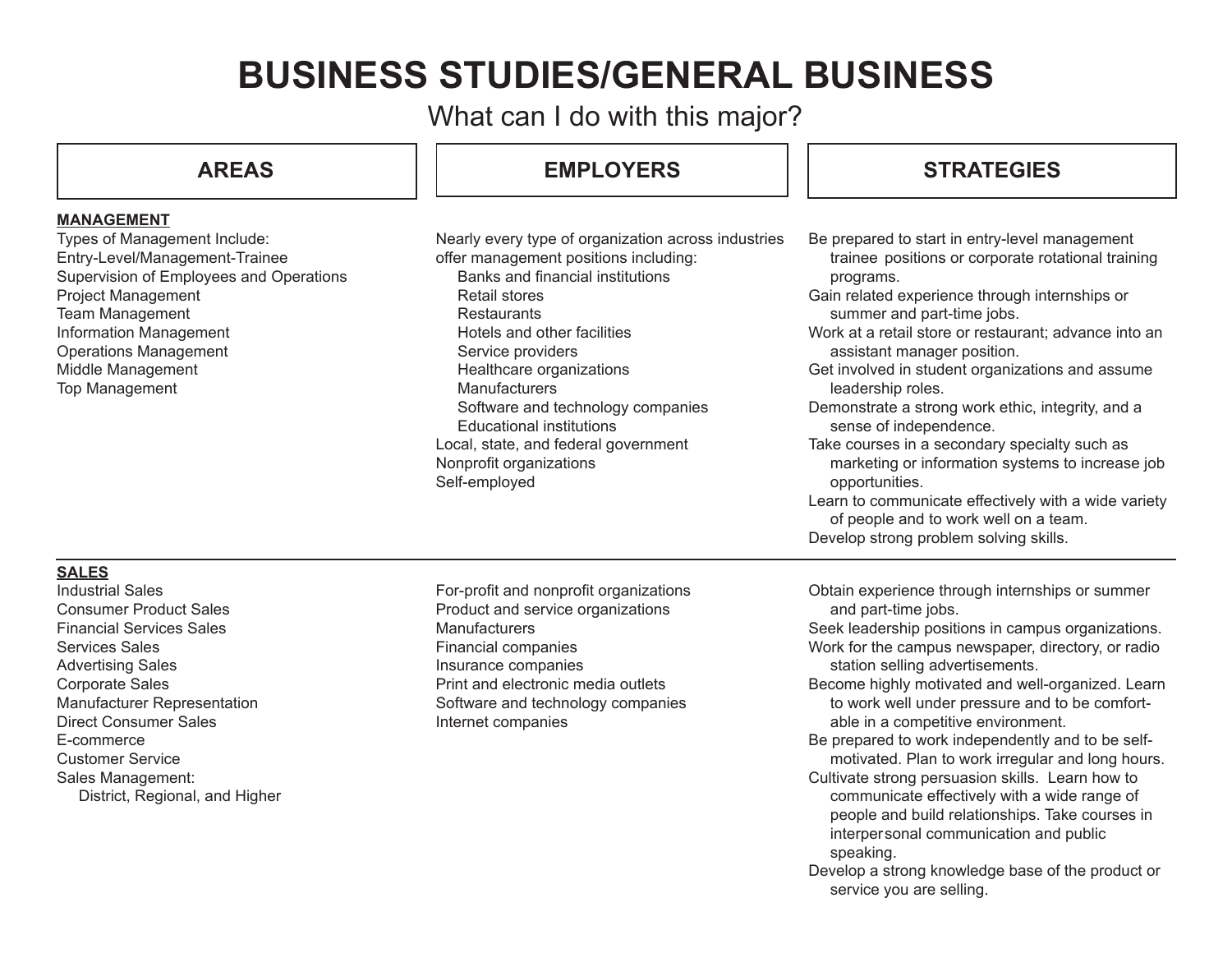# **BUSINESS STUDIES/GENERAL BUSINESS**

What can I do with this major?

**MANAGEMENT**

## **AREAS EMPLOYERS**

# **STRATEGIES**

| Types of Management Include:<br>Entry-Level/Management-Trainee<br>Supervision of Employees and Operations<br>Project Management<br><b>Team Management</b><br>Information Management<br><b>Operations Management</b><br>Middle Management<br>Top Management | Nearly every type of organization across industries<br>offer management positions including:<br>Banks and financial institutions<br>Retail stores<br>Restaurants<br>Hotels and other facilities<br>Service providers<br>Healthcare organizations<br><b>Manufacturers</b><br>Software and technology companies<br><b>Educational institutions</b><br>Local, state, and federal government<br>Nonprofit organizations<br>Self-employed | Be prepared to start in entry-level management<br>trainee positions or corporate rotational training<br>programs.<br>Gain related experience through internships or<br>summer and part-time jobs.<br>Work at a retail store or restaurant; advance into an<br>assistant manager position.<br>Get involved in student organizations and assume<br>leadership roles.<br>Demonstrate a strong work ethic, integrity, and a<br>sense of independence.<br>Take courses in a secondary specialty such as<br>marketing or information systems to increase job<br>opportunities.<br>Learn to communicate effectively with a wide variety<br>of people and to work well on a team.<br>Develop strong problem solving skills. |
|------------------------------------------------------------------------------------------------------------------------------------------------------------------------------------------------------------------------------------------------------------|--------------------------------------------------------------------------------------------------------------------------------------------------------------------------------------------------------------------------------------------------------------------------------------------------------------------------------------------------------------------------------------------------------------------------------------|---------------------------------------------------------------------------------------------------------------------------------------------------------------------------------------------------------------------------------------------------------------------------------------------------------------------------------------------------------------------------------------------------------------------------------------------------------------------------------------------------------------------------------------------------------------------------------------------------------------------------------------------------------------------------------------------------------------------|
| <b>SALES</b><br><b>Industrial Sales</b>                                                                                                                                                                                                                    | For-profit and nonprofit organizations                                                                                                                                                                                                                                                                                                                                                                                               | Obtain experience through internships or summer                                                                                                                                                                                                                                                                                                                                                                                                                                                                                                                                                                                                                                                                     |
| <b>Consumer Product Sales</b>                                                                                                                                                                                                                              | Product and service organizations                                                                                                                                                                                                                                                                                                                                                                                                    | and part-time jobs.                                                                                                                                                                                                                                                                                                                                                                                                                                                                                                                                                                                                                                                                                                 |
| <b>Financial Services Sales</b>                                                                                                                                                                                                                            | Manufacturers                                                                                                                                                                                                                                                                                                                                                                                                                        | Seek leadership positions in campus organizations.                                                                                                                                                                                                                                                                                                                                                                                                                                                                                                                                                                                                                                                                  |
| <b>Services Sales</b>                                                                                                                                                                                                                                      | Financial companies                                                                                                                                                                                                                                                                                                                                                                                                                  | Work for the campus newspaper, directory, or radio                                                                                                                                                                                                                                                                                                                                                                                                                                                                                                                                                                                                                                                                  |
| <b>Advertising Sales</b>                                                                                                                                                                                                                                   | Insurance companies                                                                                                                                                                                                                                                                                                                                                                                                                  | station selling advertisements.                                                                                                                                                                                                                                                                                                                                                                                                                                                                                                                                                                                                                                                                                     |
| <b>Corporate Sales</b>                                                                                                                                                                                                                                     | Print and electronic media outlets                                                                                                                                                                                                                                                                                                                                                                                                   | Become highly motivated and well-organized. Learn                                                                                                                                                                                                                                                                                                                                                                                                                                                                                                                                                                                                                                                                   |
| Manufacturer Representation                                                                                                                                                                                                                                | Software and technology companies                                                                                                                                                                                                                                                                                                                                                                                                    | to work well under pressure and to be comfort-                                                                                                                                                                                                                                                                                                                                                                                                                                                                                                                                                                                                                                                                      |
| <b>Direct Consumer Sales</b>                                                                                                                                                                                                                               | Internet companies                                                                                                                                                                                                                                                                                                                                                                                                                   | able in a competitive environment.                                                                                                                                                                                                                                                                                                                                                                                                                                                                                                                                                                                                                                                                                  |
| E-commerce<br><b>Customer Service</b>                                                                                                                                                                                                                      |                                                                                                                                                                                                                                                                                                                                                                                                                                      | Be prepared to work independently and to be self-<br>motivated. Plan to work irregular and long hours.                                                                                                                                                                                                                                                                                                                                                                                                                                                                                                                                                                                                              |
| Sales Management:                                                                                                                                                                                                                                          |                                                                                                                                                                                                                                                                                                                                                                                                                                      | Cultivate strong persuasion skills. Learn how to                                                                                                                                                                                                                                                                                                                                                                                                                                                                                                                                                                                                                                                                    |
| District, Regional, and Higher                                                                                                                                                                                                                             |                                                                                                                                                                                                                                                                                                                                                                                                                                      | communicate effectively with a wide range of<br>people and build relationships. Take courses in                                                                                                                                                                                                                                                                                                                                                                                                                                                                                                                                                                                                                     |

- speaking.
- Develop a strong knowledge base of the product or service you are selling.

interpersonal communication and public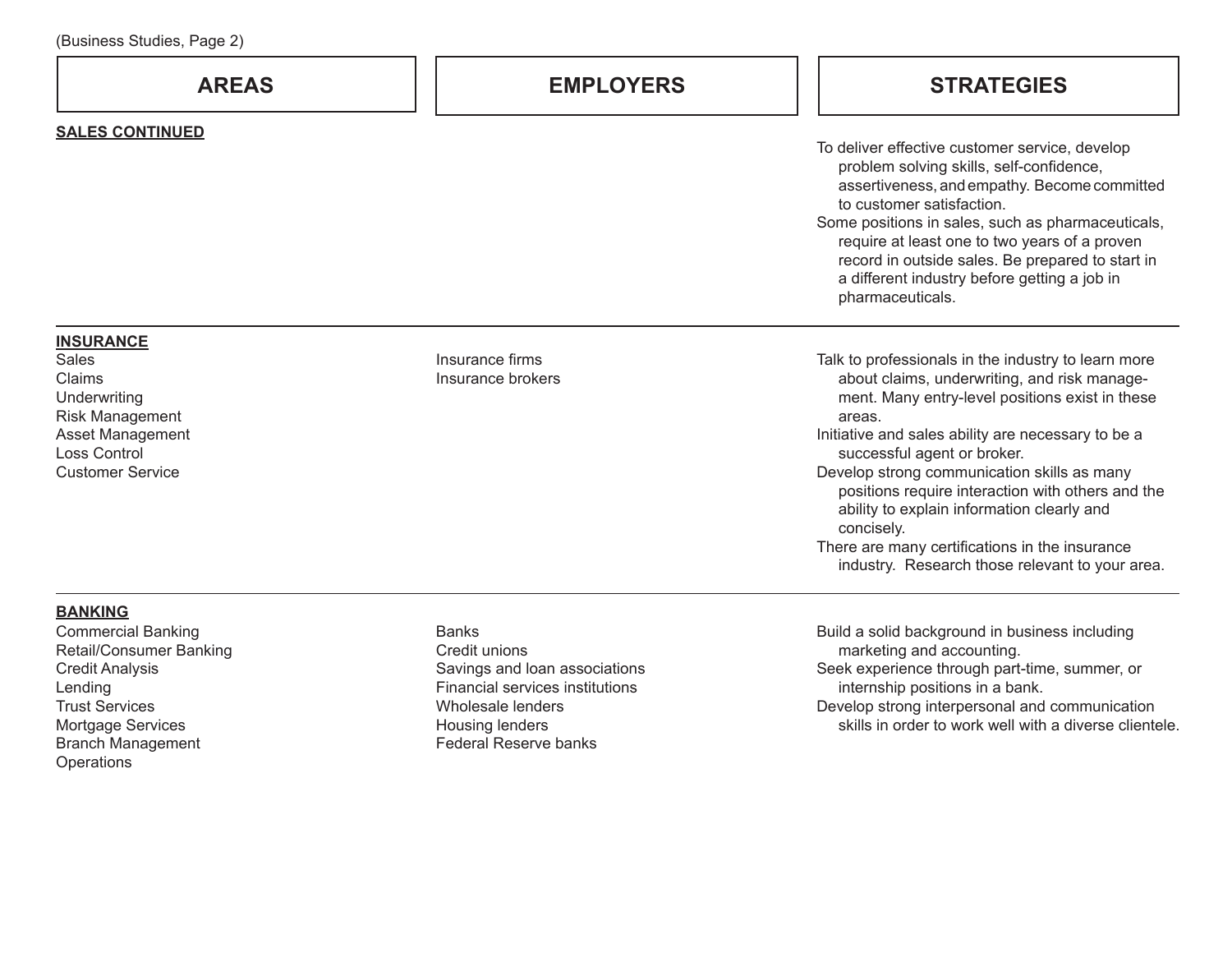| Dasiricss Otagics, Fago Z7                                                                                                                                |                                                                                                                                           |                                                                                                                                                                                                                                                                                                                                                                                                                                                                                                                            |
|-----------------------------------------------------------------------------------------------------------------------------------------------------------|-------------------------------------------------------------------------------------------------------------------------------------------|----------------------------------------------------------------------------------------------------------------------------------------------------------------------------------------------------------------------------------------------------------------------------------------------------------------------------------------------------------------------------------------------------------------------------------------------------------------------------------------------------------------------------|
| <b>AREAS</b>                                                                                                                                              | <b>EMPLOYERS</b>                                                                                                                          | <b>STRATEGIES</b>                                                                                                                                                                                                                                                                                                                                                                                                                                                                                                          |
| <b>SALES CONTINUED</b>                                                                                                                                    |                                                                                                                                           | To deliver effective customer service, develop<br>problem solving skills, self-confidence,<br>assertiveness, and empathy. Become committed<br>to customer satisfaction.<br>Some positions in sales, such as pharmaceuticals,<br>require at least one to two years of a proven<br>record in outside sales. Be prepared to start in<br>a different industry before getting a job in<br>pharmaceuticals.                                                                                                                      |
| <b>INSURANCE</b><br><b>Sales</b><br>Claims<br>Underwriting<br>Risk Management<br>Asset Management<br><b>Loss Control</b><br><b>Customer Service</b>       | Insurance firms<br>Insurance brokers                                                                                                      | Talk to professionals in the industry to learn more<br>about claims, underwriting, and risk manage-<br>ment. Many entry-level positions exist in these<br>areas.<br>Initiative and sales ability are necessary to be a<br>successful agent or broker.<br>Develop strong communication skills as many<br>positions require interaction with others and the<br>ability to explain information clearly and<br>concisely.<br>There are many certifications in the insurance<br>industry. Research those relevant to your area. |
| <b>BANKING</b><br><b>Commercial Banking</b><br>Retail/Consumer Banking<br><b>Credit Analysis</b><br>Lending<br><b>Trust Services</b><br>Mortgage Services | <b>Banks</b><br>Credit unions<br>Savings and loan associations<br>Financial services institutions<br>Wholesale lenders<br>Housing lenders | Build a solid background in business including<br>marketing and accounting.<br>Seek experience through part-time, summer, or<br>internship positions in a bank.<br>Develop strong interpersonal and communication<br>skills in order to work well with a diverse clientele.                                                                                                                                                                                                                                                |

Branch Management Operations

Housing lenders Federal Reserve banks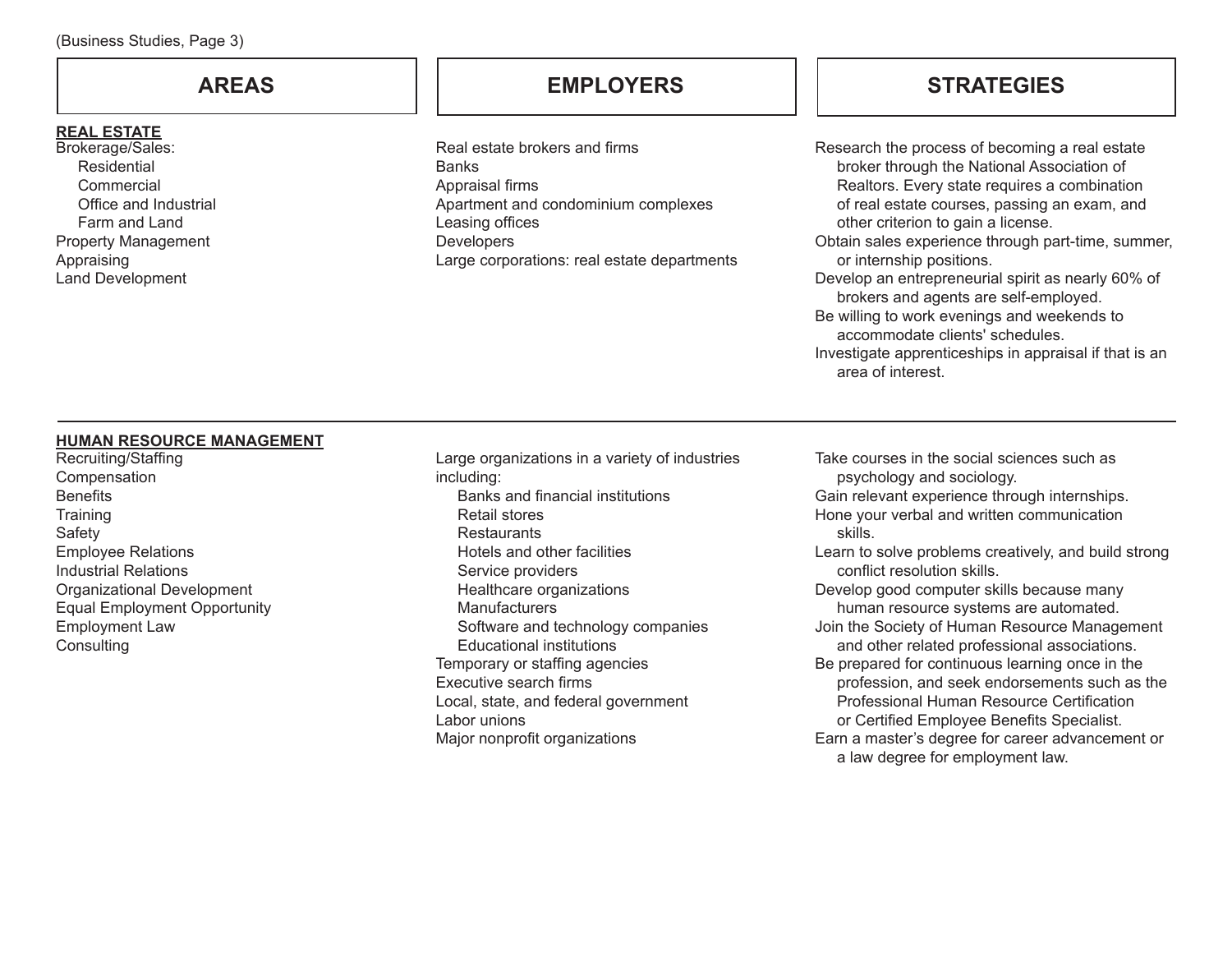#### **REAL ESTATE**

Brokerage/Sales: Residential **Commercial** Office and Industrial Farm and Land Property Management Appraising Land Development

# **AREAS EMPLOYERS**

Real estate brokers and firms Banks Appraisal firms Apartment and condominium complexes Leasing offices **Developers** Large corporations: real estate departments

# **STRATEGIES**

Research the process of becoming a real estate broker through the National Association of Realtors. Every state requires a combination of real estate courses, passing an exam, and other criterion to gain a license.

- Obtain sales experience through part-time, summer, or internship positions.
- Develop an entrepreneurial spirit as nearly 60% of brokers and agents are self-employed.
- Be willing to work evenings and weekends to accommodate clients' schedules.
- Investigate apprenticeships in appraisal if that is an area of interest.

### **HUMAN RESOURCE MANAGEMENT**

Recruiting/Staffing Compensation **Benefits Training** Safety Employee Relations Industrial Relations Organizational Development Equal Employment Opportunity Employment Law **Consulting** 

Large organizations in a variety of industries including: Banks and financial institutions Retail stores **Restaurants**  Hotels and other facilities Service providers Healthcare organizations **Manufacturers** Software and technology companies Educational institutions Temporary or staffing agencies Executive search firms Local, state, and federal government Labor unions Major nonprofit organizations

Take courses in the social sciences such as psychology and sociology. Gain relevant experience through internships. Hone your verbal and written communication skills. Learn to solve problems creatively, and build strong conflict resolution skills. Develop good computer skills because many human resource systems are automated. Join the Society of Human Resource Management and other related professional associations. Be prepared for continuous learning once in the profession, and seek endorsements such as the Professional Human Resource Certification or Certified Employee Benefits Specialist. Earn a master's degree for career advancement or a law degree for employment law.